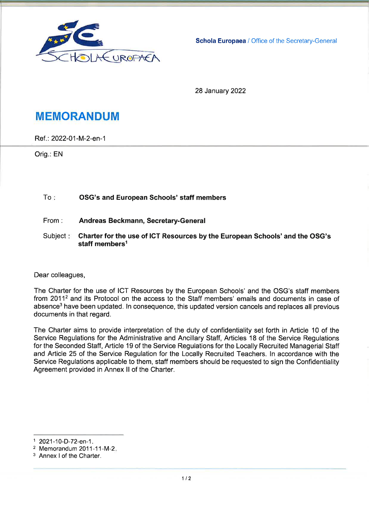

Schola Europaea / Office of the Secretary-General

**28 January 2022** 

# **MEMORANDUM**

Ref.: 2022-01-M-2-en-1

Orig.: EN

#### $To:$ OSG's and European Schools' staff members

- From: Andreas Beckmann, Secretary-General
- Subject: Charter for the use of ICT Resources by the European Schools' and the OSG's staff members<sup>1</sup>

Dear colleagues,

The Charter for the use of ICT Resources by the European Schools' and the OSG's staff members from 2011<sup>2</sup> and its Protocol on the access to the Staff members' emails and documents in case of absence<sup>3</sup> have been updated. In consequence, this updated version cancels and replaces all previous documents in that regard.

The Charter aims to provide interpretation of the duty of confidentiality set forth in Article 10 of the Service Regulations for the Administrative and Ancillary Staff, Articles 18 of the Service Regulations for the Seconded Staff, Article 19 of the Service Regulations for the Locally Recruited Managerial Staff and Article 25 of the Service Regulation for the Locally Recruited Teachers. In accordance with the Service Regulations applicable to them, staff members should be requested to sign the Confidentiality Agreement provided in Annex II of the Charter.

<sup>1 2021-10-</sup>D-72-en-1.

<sup>&</sup>lt;sup>2</sup> Memorandum 2011-11-M-2.

<sup>&</sup>lt;sup>3</sup> Annex I of the Charter.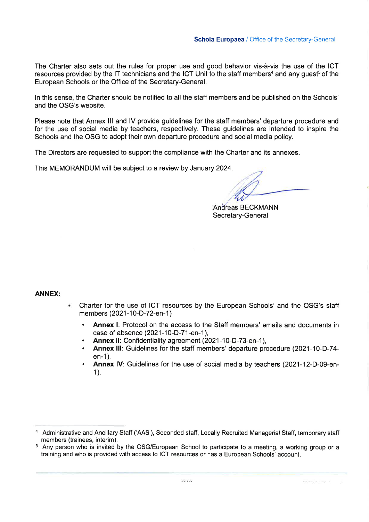The Charter also sets out the rules for proper use and good behavior vis-à-vis the use of the ICT resources provided by the IT technicians and the ICT Unit to the staff members<sup>4</sup> and any quest<sup>5</sup> of the European Schools or the Office of the Secretary-General.

In this sense, the Charter should be notified to all the staff members and be published on the Schools' and the OSG's website.

Please note that Annex III and IV provide guidelines for the staff members' departure procedure and for the use of social media by teachers, respectively. These quidelines are intended to inspire the Schools and the OSG to adopt their own departure procedure and social media policy.

The Directors are requested to support the compliance with the Charter and its annexes.

This MEMORANDUM will be subject to a review by January 2024.

Andreas BECKMANN Secretary-General

**ANNEX:** 

- Charter for the use of ICT resources by the European Schools' and the OSG's staff members (2021-10-D-72-en-1)
	- **Annex I:** Protocol on the access to the Staff members' emails and documents in case of absence (2021-10-D-71-en-1).
	- Annex II: Confidentiality agreement (2021-10-D-73-en-1),
	- Annex III: Guidelines for the staff members' departure procedure (2021-10-D-74 $en-1$ ).
	- Annex IV: Guidelines for the use of social media by teachers (2021-12-D-09-en- $1$ ).

<sup>4</sup> Administrative and Ancillary Staff ('AAS'), Seconded staff, Locally Recruited Managerial Staff, temporary staff members (trainees, interim).

<sup>&</sup>lt;sup>5</sup> Any person who is invited by the OSG/European School to participate to a meeting, a working group or a training and who is provided with access to ICT resources or has a European Schools' account.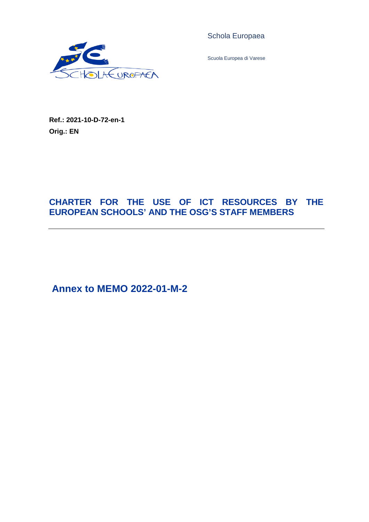

Schola Europaea

Scuola Europea di Varese

**Ref.: 2021-10-D-72-en-1 Orig.: EN**

# **CHARTER FOR THE USE OF ICT RESOURCES BY THE EUROPEAN SCHOOLS' AND THE OSG'S STAFF MEMBERS**

**Annex to MEMO 2022-01-M-2**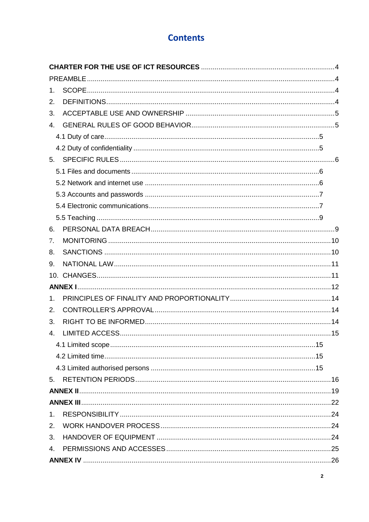# **Contents**

| 1 <sub>1</sub> |  |
|----------------|--|
| 2.             |  |
| 3.             |  |
| $\overline{4}$ |  |
|                |  |
|                |  |
|                |  |
|                |  |
|                |  |
|                |  |
|                |  |
|                |  |
| 6.             |  |
| 7.             |  |
| 8.             |  |
| 9.             |  |
|                |  |
|                |  |
| $1_{-}$        |  |
| 2.             |  |
| 3.             |  |
| $\mathbf{4}$ . |  |
|                |  |
|                |  |
|                |  |
| 5.             |  |
|                |  |
|                |  |
| 1.             |  |
| 2.             |  |
| 3.             |  |
| 4.             |  |
|                |  |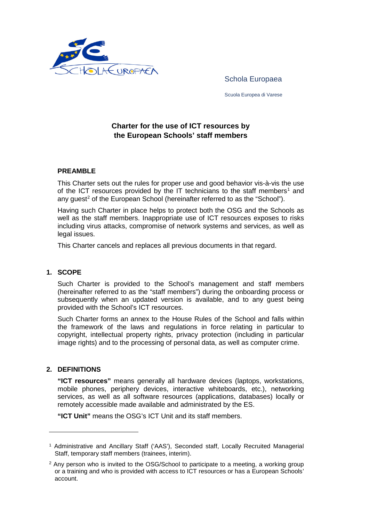

Schola Europaea

Scuola Europea di Varese

### **Charter for the use of ICT resources by the European Schools' staff members**

### <span id="page-5-1"></span><span id="page-5-0"></span>**PREAMBLE**

This Charter sets out the rules for proper use and good behavior vis-à-vis the use of the ICT resources provided by the IT technicians to the staff members<sup>[1](#page-5-4)</sup> and any quest<sup>[2](#page-5-5)</sup> of the European School (hereinafter referred to as the "School").

Having such Charter in place helps to protect both the OSG and the Schools as well as the staff members. Inappropriate use of ICT resources exposes to risks including virus attacks, compromise of network systems and services, as well as legal issues.

This Charter cancels and replaces all previous documents in that regard.

### <span id="page-5-2"></span>**1. SCOPE**

Such Charter is provided to the School's management and staff members (hereinafter referred to as the "staff members") during the onboarding process or subsequently when an updated version is available, and to any guest being provided with the School's ICT resources.

Such Charter forms an annex to the House Rules of the School and falls within the framework of the laws and regulations in force relating in particular to copyright, intellectual property rights, privacy protection (including in particular image rights) and to the processing of personal data, as well as computer crime.

### <span id="page-5-3"></span>**2. DEFINITIONS**

 $\overline{a}$ 

**"ICT resources"** means generally all hardware devices (laptops, workstations, mobile phones, periphery devices, interactive whiteboards, etc.), networking services, as well as all software resources (applications, databases) locally or remotely accessible made available and administrated by the ES.

**"ICT Unit"** means the OSG's ICT Unit and its staff members.

<span id="page-5-4"></span><sup>1</sup> Administrative and Ancillary Staff ('AAS'), Seconded staff, Locally Recruited Managerial Staff, temporary staff members (trainees, interim).

<span id="page-5-5"></span><sup>&</sup>lt;sup>2</sup> Any person who is invited to the OSG/School to participate to a meeting, a working group or a training and who is provided with access to ICT resources or has a European Schools' account.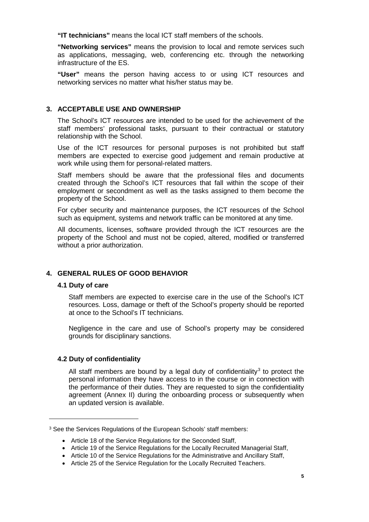**"IT technicians"** means the local ICT staff members of the schools.

**"Networking services"** means the provision to local and remote services such as applications, messaging, web, conferencing etc. through the networking infrastructure of the ES.

**"User"** means the person having access to or using ICT resources and networking services no matter what his/her status may be.

### <span id="page-6-0"></span>**3. ACCEPTABLE USE AND OWNERSHIP**

The School's ICT resources are intended to be used for the achievement of the staff members' professional tasks, pursuant to their contractual or statutory relationship with the School.

Use of the ICT resources for personal purposes is not prohibited but staff members are expected to exercise good judgement and remain productive at work while using them for personal-related matters.

Staff members should be aware that the professional files and documents created through the School's ICT resources that fall within the scope of their employment or secondment as well as the tasks assigned to them become the property of the School.

For cyber security and maintenance purposes, the ICT resources of the School such as equipment, systems and network traffic can be monitored at any time.

All documents, licenses, software provided through the ICT resources are the property of the School and must not be copied, altered, modified or transferred without a prior authorization.

### <span id="page-6-1"></span>**4. GENERAL RULES OF GOOD BEHAVIOR**

### <span id="page-6-2"></span>**4.1 Duty of care**

 $\ddot{\phantom{a}}$ 

Staff members are expected to exercise care in the use of the School's ICT resources. Loss, damage or theft of the School's property should be reported at once to the School's IT technicians.

Negligence in the care and use of School's property may be considered grounds for disciplinary sanctions.

### <span id="page-6-3"></span>**4.2 Duty of confidentiality**

All staff members are bound by a legal duty of confidentiality<sup>[3](#page-6-4)</sup> to protect the personal information they have access to in the course or in connection with the performance of their duties. They are requested to sign the confidentiality agreement (Annex II) during the onboarding process or subsequently when an updated version is available.

<span id="page-6-4"></span><sup>3</sup> See the Services Regulations of the European Schools' staff members:

<sup>•</sup> Article 18 of the Service Regulations for the Seconded Staff,

<sup>•</sup> Article 19 of the Service Regulations for the Locally Recruited Managerial Staff,

<sup>•</sup> Article 10 of the Service Regulations for the Administrative and Ancillary Staff,

<sup>•</sup> Article 25 of the Service Regulation for the Locally Recruited Teachers.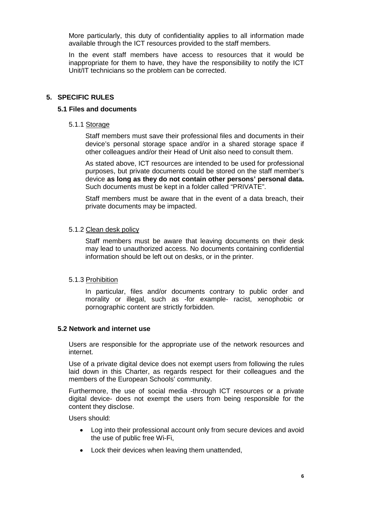More particularly, this duty of confidentiality applies to all information made available through the ICT resources provided to the staff members.

In the event staff members have access to resources that it would be inappropriate for them to have, they have the responsibility to notify the ICT Unit/IT technicians so the problem can be corrected.

### <span id="page-7-0"></span>**5. SPECIFIC RULES**

### <span id="page-7-1"></span>**5.1 Files and documents**

### 5.1.1 Storage

Staff members must save their professional files and documents in their device's personal storage space and/or in a shared storage space if other colleagues and/or their Head of Unit also need to consult them.

As stated above, ICT resources are intended to be used for professional purposes, but private documents could be stored on the staff member's device **as long as they do not contain other persons' personal data.**  Such documents must be kept in a folder called "PRIVATE".

Staff members must be aware that in the event of a data breach, their private documents may be impacted.

#### 5.1.2 Clean desk policy

Staff members must be aware that leaving documents on their desk may lead to unauthorized access. No documents containing confidential information should be left out on desks, or in the printer.

### 5.1.3 Prohibition

In particular, files and/or documents contrary to public order and morality or illegal, such as -for example- racist, xenophobic or pornographic content are strictly forbidden.

### <span id="page-7-2"></span>**5.2 Network and internet use**

Users are responsible for the appropriate use of the network resources and internet.

Use of a private digital device does not exempt users from following the rules laid down in this Charter, as regards respect for their colleagues and the members of the European Schools' community.

Furthermore, the use of social media -through ICT resources or a private digital device- does not exempt the users from being responsible for the content they disclose.

Users should:

- Log into their professional account only from secure devices and avoid the use of public free Wi-Fi,
- Lock their devices when leaving them unattended,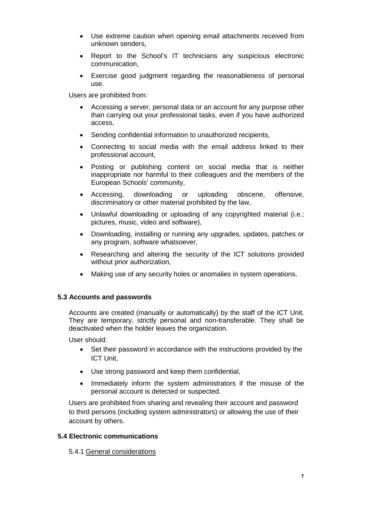- Use extreme caution when opening email attachments received from unknown senders,
- Report to the School's IT technicians any suspicious electronic communication,
- Exercise good judgment regarding the reasonableness of personal use.

Users are prohibited from:

- Accessing a server, personal data or an account for any purpose other than carrying out your professional tasks, even if you have authorized access,
- Sending confidential information to unauthorized recipients,
- Connecting to social media with the email address linked to their professional account,
- Posting or publishing content on social media that is neither inappropriate nor harmful to their colleagues and the members of the European Schools' community,
- Accessing, downloading or uploading obscene, offensive, discriminatory or other material prohibited by the law,
- Unlawful downloading or uploading of any copyrighted material (i.e.; pictures, music, video and software),
- Downloading, installing or running any upgrades, updates, patches or any program, software whatsoever,
- Researching and altering the security of the ICT solutions provided without prior authorization,
- Making use of any security holes or anomalies in system operations.

### <span id="page-8-0"></span>**5.3 Accounts and passwords**

Accounts are created (manually or automatically) by the staff of the ICT Unit. They are temporary, strictly personal and non-transferable. They shall be deactivated when the holder leaves the organization.

User should:

- Set their password in accordance with the instructions provided by the ICT Unit,
- Use strong password and keep them confidential,
- Immediately inform the system administrators if the misuse of the personal account is detected or suspected.

Users are prohibited from sharing and revealing their account and password to third persons (including system administrators) or allowing the use of their account by others.

### <span id="page-8-1"></span>**5.4 Electronic communications**

5.4.1 General considerations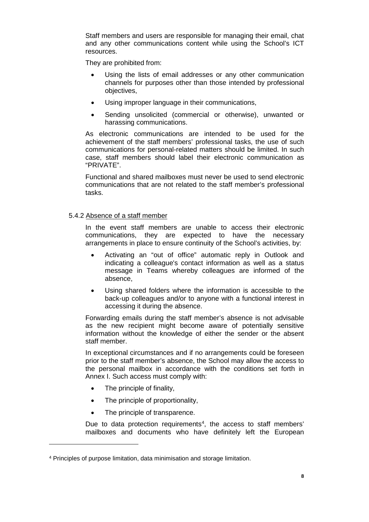Staff members and users are responsible for managing their email, chat and any other communications content while using the School's ICT resources.

They are prohibited from:

- Using the lists of email addresses or any other communication channels for purposes other than those intended by professional objectives,
- Using improper language in their communications,
- Sending unsolicited (commercial or otherwise), unwanted or harassing communications.

As electronic communications are intended to be used for the achievement of the staff members' professional tasks, the use of such communications for personal-related matters should be limited. In such case, staff members should label their electronic communication as "PRIVATE".

Functional and shared mailboxes must never be used to send electronic communications that are not related to the staff member's professional tasks.

### 5.4.2 Absence of a staff member

In the event staff members are unable to access their electronic communications, they are expected to have the necessary arrangements in place to ensure continuity of the School's activities, by:

- Activating an "out of office" automatic reply in Outlook and indicating a colleague's contact information as well as a status message in Teams whereby colleagues are informed of the absence,
- Using shared folders where the information is accessible to the back-up colleagues and/or to anyone with a functional interest in accessing it during the absence.

Forwarding emails during the staff member's absence is not advisable as the new recipient might become aware of potentially sensitive information without the knowledge of either the sender or the absent staff member.

In exceptional circumstances and if no arrangements could be foreseen prior to the staff member's absence, the School may allow the access to the personal mailbox in accordance with the conditions set forth in Annex I. Such access must comply with:

• The principle of finality,

 $\overline{a}$ 

- The principle of proportionality,
- The principle of transparence.

Due to data protection requirements<sup>[4](#page-9-0)</sup>, the access to staff members' mailboxes and documents who have definitely left the European

<span id="page-9-0"></span><sup>4</sup> Principles of purpose limitation, data minimisation and storage limitation.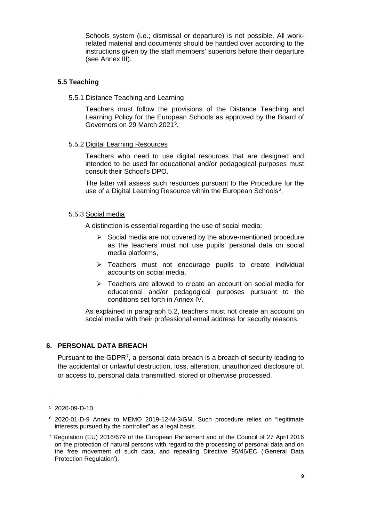Schools system (i.e.; dismissal or departure) is not possible. All workrelated material and documents should be handed over according to the instructions given by the staff members' superiors before their departure (see Annex III).

### <span id="page-10-0"></span>**5.5 Teaching**

5.5.1 Distance Teaching and Learning

Teachers must follow the provisions of the Distance Teaching and Learning Policy for the European Schools as approved by the Board of Governors on 29 March 2021**[5](#page-10-2)** .

### 5.5.2 Digital Learning Resources

Teachers who need to use digital resources that are designed and intended to be used for educational and/or pedagogical purposes must consult their School's DPO.

The latter will assess such resources pursuant to the Procedure for the use of a Digital Learning Resource within the European Schools<sup>[6](#page-10-3)</sup>.

### 5.5.3 Social media

A distinction is essential regarding the use of social media:

- $\triangleright$  Social media are not covered by the above-mentioned procedure as the teachers must not use pupils' personal data on social media platforms,
- $\triangleright$  Teachers must not encourage pupils to create individual accounts on social media,
- $\triangleright$  Teachers are allowed to create an account on social media for educational and/or pedagogical purposes pursuant to the conditions set forth in Annex IV.

As explained in paragraph 5.2, teachers must not create an account on social media with their professional email address for security reasons.

### <span id="page-10-1"></span>**6. PERSONAL DATA BREACH**

Pursuant to the GDPR<sup>[7](#page-10-4)</sup>, a personal data breach is a breach of security leading to the accidental or unlawful destruction, loss, alteration, unauthorized disclosure of, or access to, personal data transmitted, stored or otherwise processed.

 $\ddot{\phantom{a}}$ 

<span id="page-10-2"></span><sup>5</sup> 2020-09-D-10.

<span id="page-10-3"></span><sup>6</sup> 2020-01-D-9 Annex to MEMO 2019-12-M-3/GM. Such procedure relies on "legitimate interests pursued by the controller" as a legal basis.

<span id="page-10-4"></span><sup>7</sup> Regulation (EU) 2016/679 of the European Parliament and of the Council of 27 April 2016 on the protection of natural persons with regard to the processing of personal data and on the free movement of such data, and repealing Directive 95/46/EC ('General Data Protection Regulation').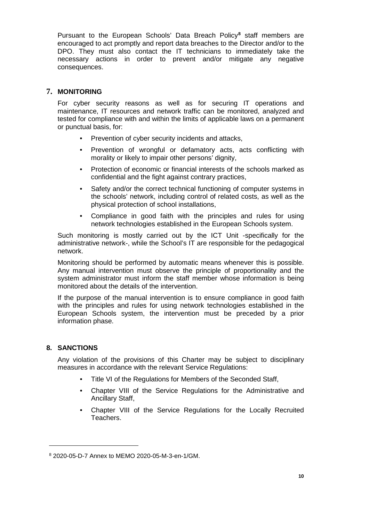Pursuant to the European Schools' Data Breach Policy**[8](#page-11-2)** staff members are encouraged to act promptly and report data breaches to the Director and/or to the DPO. They must also contact the IT technicians to immediately take the necessary actions in order to prevent and/or mitigate any negative consequences.

### <span id="page-11-0"></span>**7. MONITORING**

For cyber security reasons as well as for securing IT operations and maintenance, IT resources and network traffic can be monitored, analyzed and tested for compliance with and within the limits of applicable laws on a permanent or punctual basis, for:

- Prevention of cyber security incidents and attacks,
- Prevention of wrongful or defamatory acts, acts conflicting with morality or likely to impair other persons' dignity,
- Protection of economic or financial interests of the schools marked as confidential and the fight against contrary practices,
- Safety and/or the correct technical functioning of computer systems in the schools' network, including control of related costs, as well as the physical protection of school installations,
- Compliance in good faith with the principles and rules for using network technologies established in the European Schools system.

Such monitoring is mostly carried out by the ICT Unit -specifically for the administrative network-, while the School's IT are responsible for the pedagogical network.

Monitoring should be performed by automatic means whenever this is possible. Any manual intervention must observe the principle of proportionality and the system administrator must inform the staff member whose information is being monitored about the details of the intervention.

If the purpose of the manual intervention is to ensure compliance in good faith with the principles and rules for using network technologies established in the European Schools system, the intervention must be preceded by a prior information phase.

### <span id="page-11-1"></span>**8. SANCTIONS**

 $\ddot{\phantom{a}}$ 

Any violation of the provisions of this Charter may be subject to disciplinary measures in accordance with the relevant Service Regulations:

- Title VI of the Regulations for Members of the Seconded Staff,
- Chapter VIII of the Service Regulations for the Administrative and Ancillary Staff,
- Chapter VIII of the Service Regulations for the Locally Recruited Teachers.

<span id="page-11-2"></span><sup>8</sup> 2020-05-D-7 Annex to MEMO 2020-05-M-3-en-1/GM.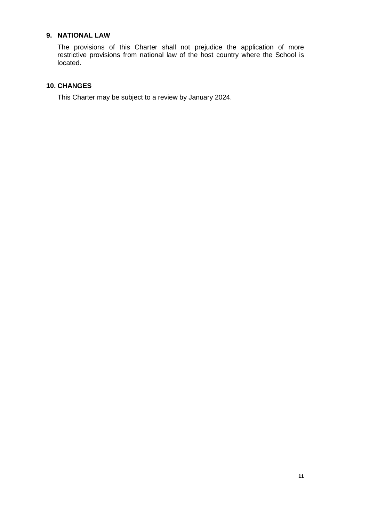### <span id="page-12-0"></span>**9. NATIONAL LAW**

The provisions of this Charter shall not prejudice the application of more restrictive provisions from national law of the host country where the School is located.

### <span id="page-12-1"></span>**10. CHANGES**

This Charter may be subject to a review by January 2024.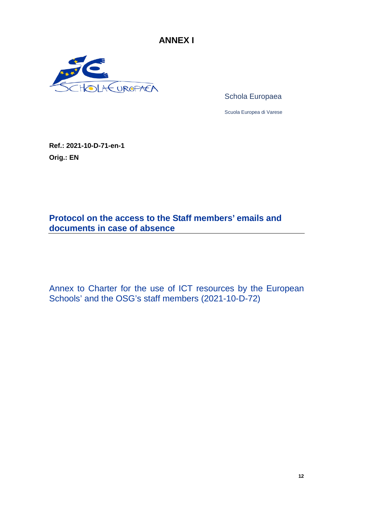**ANNEX I**

<span id="page-13-0"></span>

Schola Europaea

Scuola Europea di Varese

**Ref.: 2021-10-D-71-en-1 Orig.: EN**

**Protocol on the access to the Staff members' emails and documents in case of absence** 

Annex to Charter for the use of ICT resources by the European Schools' and the OSG's staff members (2021-10-D-72)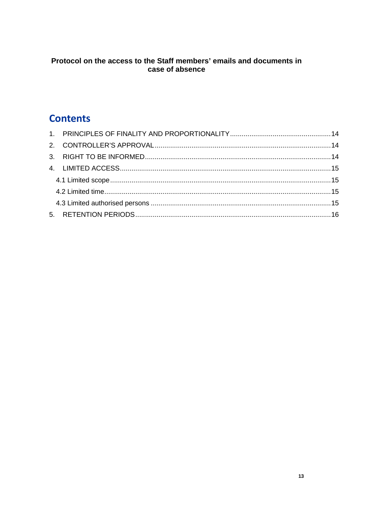## Protocol on the access to the Staff members' emails and documents in case of absence

# **Contents**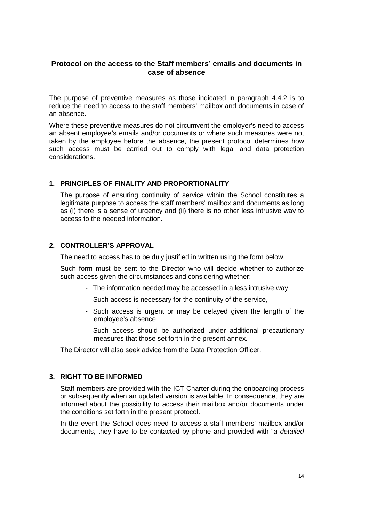### **Protocol on the access to the Staff members' emails and documents in case of absence**

The purpose of preventive measures as those indicated in paragraph 4.4.2 is to reduce the need to access to the staff members' mailbox and documents in case of an absence.

Where these preventive measures do not circumvent the employer's need to access an absent employee's emails and/or documents or where such measures were not taken by the employee before the absence, the present protocol determines how such access must be carried out to comply with legal and data protection considerations.

### <span id="page-15-0"></span>**1. PRINCIPLES OF FINALITY AND PROPORTIONALITY**

The purpose of ensuring continuity of service within the School constitutes a legitimate purpose to access the staff members' mailbox and documents as long as (i) there is a sense of urgency and (ii) there is no other less intrusive way to access to the needed information.

### <span id="page-15-1"></span>**2. CONTROLLER'S APPROVAL**

The need to access has to be duly justified in written using the form below.

Such form must be sent to the Director who will decide whether to authorize such access given the circumstances and considering whether:

- The information needed may be accessed in a less intrusive way,
- Such access is necessary for the continuity of the service,
- Such access is urgent or may be delayed given the length of the employee's absence,
- Such access should be authorized under additional precautionary measures that those set forth in the present annex.

The Director will also seek advice from the Data Protection Officer.

### <span id="page-15-2"></span>**3. RIGHT TO BE INFORMED**

Staff members are provided with the ICT Charter during the onboarding process or subsequently when an updated version is available. In consequence, they are informed about the possibility to access their mailbox and/or documents under the conditions set forth in the present protocol.

In the event the School does need to access a staff members' mailbox and/or documents, they have to be contacted by phone and provided with "*a detailed*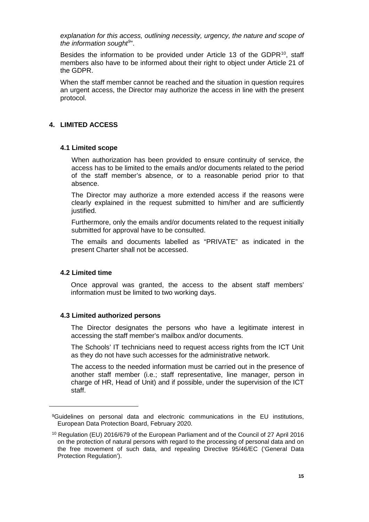*explanation for this access, outlining necessity, urgency, the nature and scope of the information sought[9](#page-16-4)* ".

Besides the information to be provided under Article 13 of the GDPR $10$ , staff members also have to be informed about their right to object under Article 21 of the GDPR.

When the staff member cannot be reached and the situation in question requires an urgent access, the Director may authorize the access in line with the present protocol.

### <span id="page-16-0"></span>**4. LIMITED ACCESS**

### <span id="page-16-1"></span>**4.1 Limited scope**

When authorization has been provided to ensure continuity of service, the access has to be limited to the emails and/or documents related to the period of the staff member's absence, or to a reasonable period prior to that absence.

The Director may authorize a more extended access if the reasons were clearly explained in the request submitted to him/her and are sufficiently justified.

Furthermore, only the emails and/or documents related to the request initially submitted for approval have to be consulted.

The emails and documents labelled as "PRIVATE" as indicated in the present Charter shall not be accessed.

### <span id="page-16-2"></span>**4.2 Limited time**

<span id="page-16-4"></span> $\ddot{\phantom{a}}$ 

Once approval was granted, the access to the absent staff members' information must be limited to two working days.

### <span id="page-16-3"></span>**4.3 Limited authorized persons**

The Director designates the persons who have a legitimate interest in accessing the staff member's mailbox and/or documents.

The Schools' IT technicians need to request access rights from the ICT Unit as they do not have such accesses for the administrative network.

The access to the needed information must be carried out in the presence of another staff member (i.e.; staff representative, line manager, person in charge of HR, Head of Unit) and if possible, under the supervision of the ICT staff.

<sup>9</sup>Guidelines on personal data and electronic communications in the EU institutions, European Data Protection Board, February 2020.

<span id="page-16-5"></span><sup>10</sup> Regulation (EU) 2016/679 of the European Parliament and of the Council of 27 April 2016 on the protection of natural persons with regard to the processing of personal data and on the free movement of such data, and repealing Directive 95/46/EC ('General Data Protection Regulation').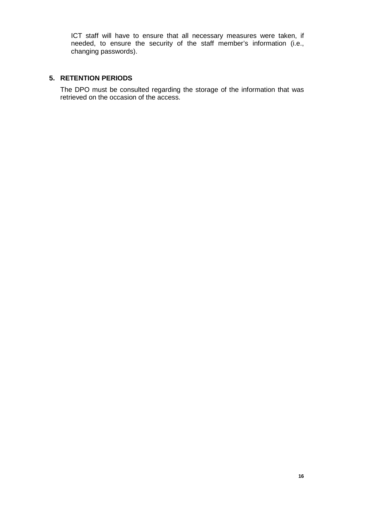ICT staff will have to ensure that all necessary measures were taken, if needed, to ensure the security of the staff member's information (i.e., changing passwords).

### <span id="page-17-0"></span>**5. RETENTION PERIODS**

The DPO must be consulted regarding the storage of the information that was retrieved on the occasion of the access.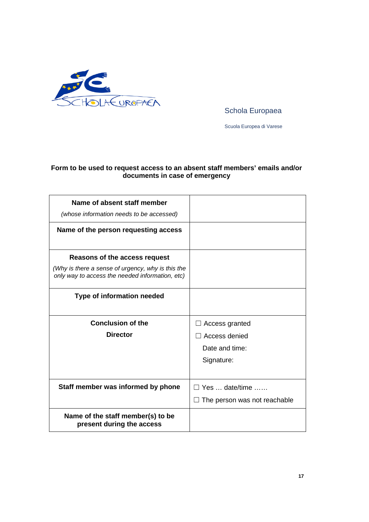

Schola Europaea

Scuola Europea di Varese

### **Form to be used to request access to an absent staff members' emails and/or documents in case of emergency**

| Name of absent staff member<br>(whose information needs to be accessed)                                                               |                                                                 |
|---------------------------------------------------------------------------------------------------------------------------------------|-----------------------------------------------------------------|
| Name of the person requesting access                                                                                                  |                                                                 |
| Reasons of the access request<br>(Why is there a sense of urgency, why is this the<br>only way to access the needed information, etc) |                                                                 |
| Type of information needed                                                                                                            |                                                                 |
| <b>Conclusion of the</b><br><b>Director</b>                                                                                           | Access granted<br>Access denied<br>Date and time:<br>Signature: |
| Staff member was informed by phone                                                                                                    | $\Box$ Yes  date/time<br>$\Box$ The person was not reachable    |
| Name of the staff member(s) to be<br>present during the access                                                                        |                                                                 |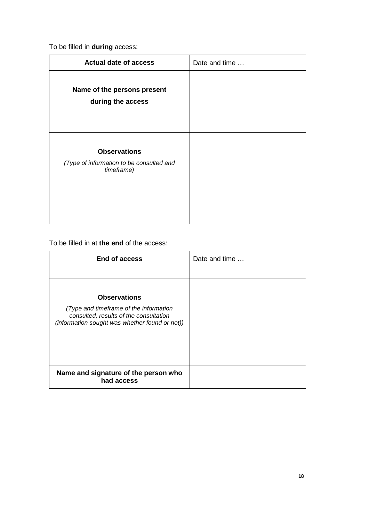To be filled in **during** access:

| <b>Actual date of access</b>                                                  | Date and time |
|-------------------------------------------------------------------------------|---------------|
| Name of the persons present<br>during the access                              |               |
| <b>Observations</b><br>(Type of information to be consulted and<br>timeframe) |               |

To be filled in at **the end** of the access:

| <b>End of access</b>                                                                                                               | Date and time |
|------------------------------------------------------------------------------------------------------------------------------------|---------------|
| <b>Observations</b>                                                                                                                |               |
| (Type and timeframe of the information<br>consulted, results of the consultation<br>(information sought was whether found or not)) |               |
| Name and signature of the person who<br>had access                                                                                 |               |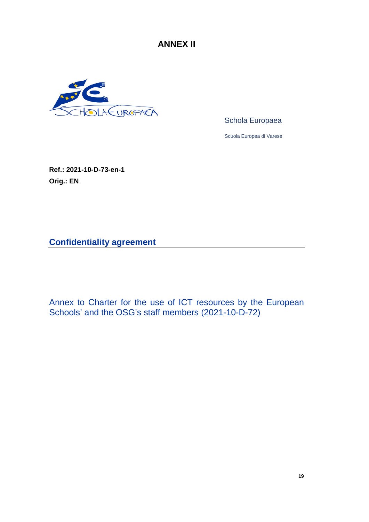**ANNEX II**

<span id="page-20-0"></span>

Schola Europaea

Scuola Europea di Varese

**Ref.: 2021-10-D-73-en-1 Orig.: EN**

**Confidentiality agreement**

Annex to Charter for the use of ICT resources by the European Schools' and the OSG's staff members (2021-10-D-72)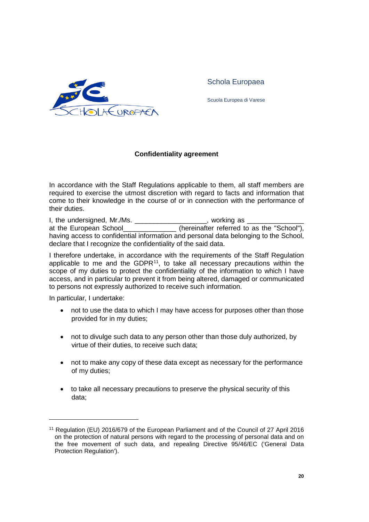

Schola Europaea

Scuola Europea di Varese

### **Confidentiality agreement**

In accordance with the Staff Regulations applicable to them, all staff members are required to exercise the utmost discretion with regard to facts and information that come to their knowledge in the course of or in connection with the performance of their duties.

I, the undersigned, Mr./Ms. \_\_\_\_\_\_\_\_\_\_\_\_\_\_\_\_\_\_\_\_, working as \_\_\_\_\_\_\_\_\_\_\_\_\_\_\_\_\_\_\_ at the European School\_\_\_\_\_\_\_\_\_\_\_\_\_\_ (hereinafter referred to as the "School"), having access to confidential information and personal data belonging to the School, declare that I recognize the confidentiality of the said data.

I therefore undertake, in accordance with the requirements of the Staff Regulation applicable to me and the GDPR $11$ , to take all necessary precautions within the scope of my duties to protect the confidentiality of the information to which I have access, and in particular to prevent it from being altered, damaged or communicated to persons not expressly authorized to receive such information.

In particular, I undertake:

 $\overline{a}$ 

- not to use the data to which I may have access for purposes other than those provided for in my duties;
- not to divulge such data to any person other than those duly authorized, by virtue of their duties, to receive such data;
- not to make any copy of these data except as necessary for the performance of my duties;
- to take all necessary precautions to preserve the physical security of this data;

<span id="page-21-0"></span><sup>11</sup> Regulation (EU) 2016/679 of the European Parliament and of the Council of 27 April 2016 on the protection of natural persons with regard to the processing of personal data and on the free movement of such data, and repealing Directive 95/46/EC ('General Data Protection Regulation').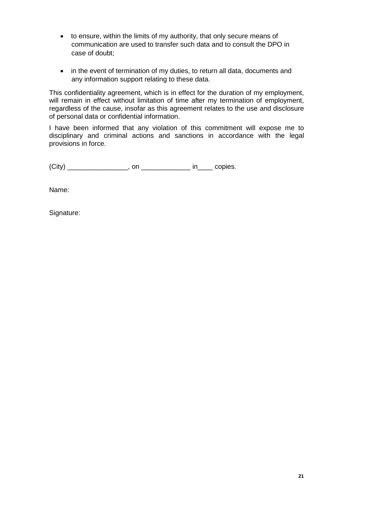- to ensure, within the limits of my authority, that only secure means of communication are used to transfer such data and to consult the DPO in case of doubt;
- in the event of termination of my duties, to return all data, documents and any information support relating to these data.

This confidentiality agreement, which is in effect for the duration of my employment, will remain in effect without limitation of time after my termination of employment, regardless of the cause, insofar as this agreement relates to the use and disclosure of personal data or confidential information.

I have been informed that any violation of this commitment will expose me to disciplinary and criminal actions and sanctions in accordance with the legal provisions in force.

 $(City)$  \_\_\_\_\_\_\_\_\_\_\_\_\_\_\_, on \_\_\_\_\_\_\_\_\_\_\_\_\_\_\_\_\_ in\_\_\_\_\_ copies.

Name:

Signature: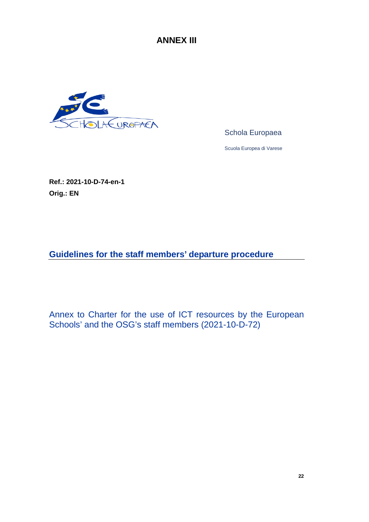**ANNEX III**

<span id="page-23-0"></span>

Schola Europaea

Scuola Europea di Varese

**Ref.: 2021-10-D-74-en-1 Orig.: EN**

**Guidelines for the staff members' departure procedure**

Annex to Charter for the use of ICT resources by the European Schools' and the OSG's staff members (2021-10-D-72)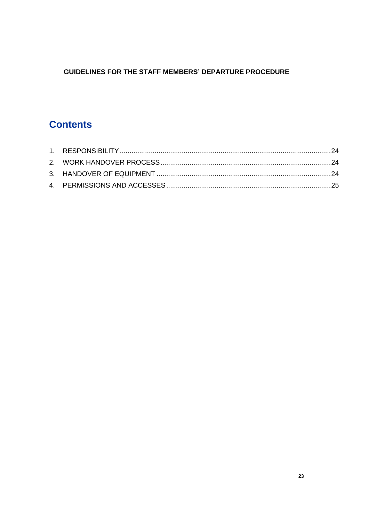## **GUIDELINES FOR THE STAFF MEMBERS' DEPARTURE PROCEDURE**

# **Contents**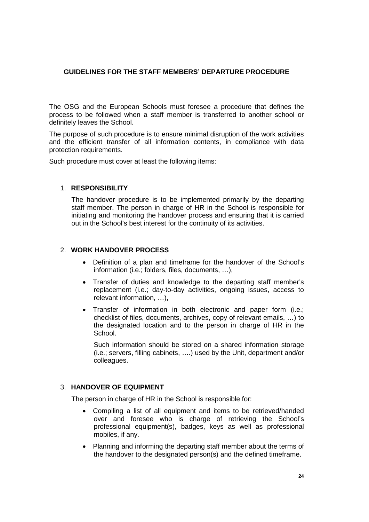### **GUIDELINES FOR THE STAFF MEMBERS' DEPARTURE PROCEDURE**

The OSG and the European Schools must foresee a procedure that defines the process to be followed when a staff member is transferred to another school or definitely leaves the School.

The purpose of such procedure is to ensure minimal disruption of the work activities and the efficient transfer of all information contents, in compliance with data protection requirements.

Such procedure must cover at least the following items:

### <span id="page-25-0"></span>1. **RESPONSIBILITY**

The handover procedure is to be implemented primarily by the departing staff member. The person in charge of HR in the School is responsible for initiating and monitoring the handover process and ensuring that it is carried out in the School's best interest for the continuity of its activities.

### <span id="page-25-1"></span>2. **WORK HANDOVER PROCESS**

- Definition of a plan and timeframe for the handover of the School's information (i.e.; folders, files, documents, …),
- Transfer of duties and knowledge to the departing staff member's replacement (i.e.; day-to-day activities, ongoing issues, access to relevant information, …),
- Transfer of information in both electronic and paper form (i.e.; checklist of files, documents, archives, copy of relevant emails, …) to the designated location and to the person in charge of HR in the School.

Such information should be stored on a shared information storage (i.e.; servers, filling cabinets, ….) used by the Unit, department and/or colleagues.

### <span id="page-25-2"></span>3. **HANDOVER OF EQUIPMENT**

The person in charge of HR in the School is responsible for:

- Compiling a list of all equipment and items to be retrieved/handed over and foresee who is charge of retrieving the School's professional equipment(s), badges, keys as well as professional mobiles, if any.
- Planning and informing the departing staff member about the terms of the handover to the designated person(s) and the defined timeframe.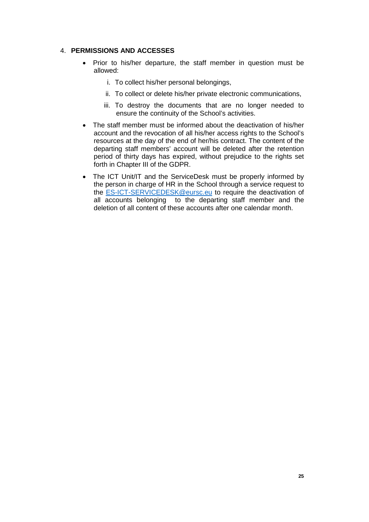### <span id="page-26-0"></span>4. **PERMISSIONS AND ACCESSES**

- Prior to his/her departure, the staff member in question must be allowed:
	- i. To collect his/her personal belongings,
	- ii. To collect or delete his/her private electronic communications,
	- iii. To destroy the documents that are no longer needed to ensure the continuity of the School's activities.
- The staff member must be informed about the deactivation of his/her account and the revocation of all his/her access rights to the School's resources at the day of the end of her/his contract. The content of the departing staff members' account will be deleted after the retention period of thirty days has expired, without prejudice to the rights set forth in Chapter III of the GDPR.
- The ICT Unit/IT and the ServiceDesk must be properly informed by the person in charge of HR in the School through a service request to the [ES-ICT-SERVICEDESK@eursc.eu](mailto:ES-ICT-SERVICEDESK@eursc.eu) to require the deactivation of all accounts belonging to the departing staff member and the deletion of all content of these accounts after one calendar month.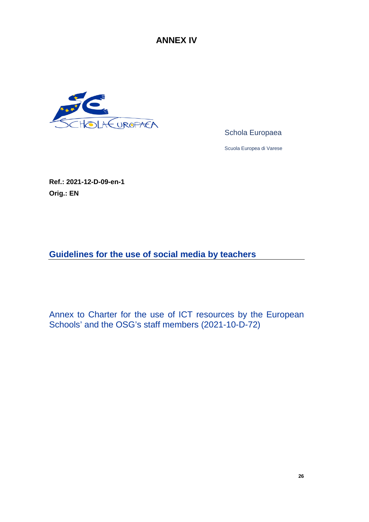**ANNEX IV**

<span id="page-27-0"></span>

Schola Europaea

Scuola Europea di Varese

**Ref.: 2021-12-D-09-en-1 Orig.: EN**

**Guidelines for the use of social media by teachers**

Annex to Charter for the use of ICT resources by the European Schools' and the OSG's staff members (2021-10-D-72)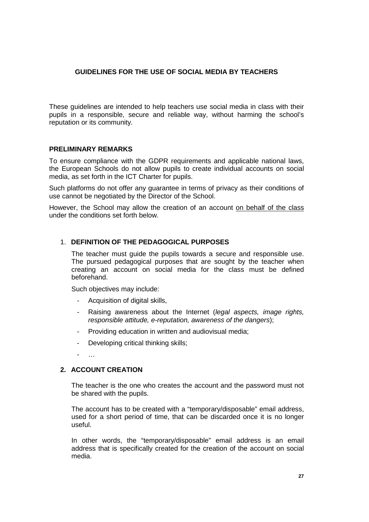### **GUIDELINES FOR THE USE OF SOCIAL MEDIA BY TEACHERS**

These guidelines are intended to help teachers use social media in class with their pupils in a responsible, secure and reliable way, without harming the school's reputation or its community.

### <span id="page-28-0"></span>**PRELIMINARY REMARKS**

To ensure compliance with the GDPR requirements and applicable national laws, the European Schools do not allow pupils to create individual accounts on social media, as set forth in the ICT Charter for pupils.

Such platforms do not offer any guarantee in terms of privacy as their conditions of use cannot be negotiated by the Director of the School.

However, the School may allow the creation of an account on behalf of the class under the conditions set forth below.

### <span id="page-28-1"></span>1. **DEFINITION OF THE PEDAGOGICAL PURPOSES**

The teacher must guide the pupils towards a secure and responsible use. The pursued pedagogical purposes that are sought by the teacher when creating an account on social media for the class must be defined beforehand.

Such objectives may include:

- Acquisition of digital skills,
- Raising awareness about the Internet (*legal aspects, image rights, responsible attitude, e-reputation, awareness of the dangers*);
- Providing education in written and audiovisual media;
- Developing critical thinking skills;
- …

### <span id="page-28-2"></span>**2. ACCOUNT CREATION**

The teacher is the one who creates the account and the password must not be shared with the pupils.

The account has to be created with a "temporary/disposable" email address, used for a short period of time, that can be discarded once it is no longer useful.

In other words, the "temporary/disposable" email address is an email address that is specifically created for the creation of the account on social media.